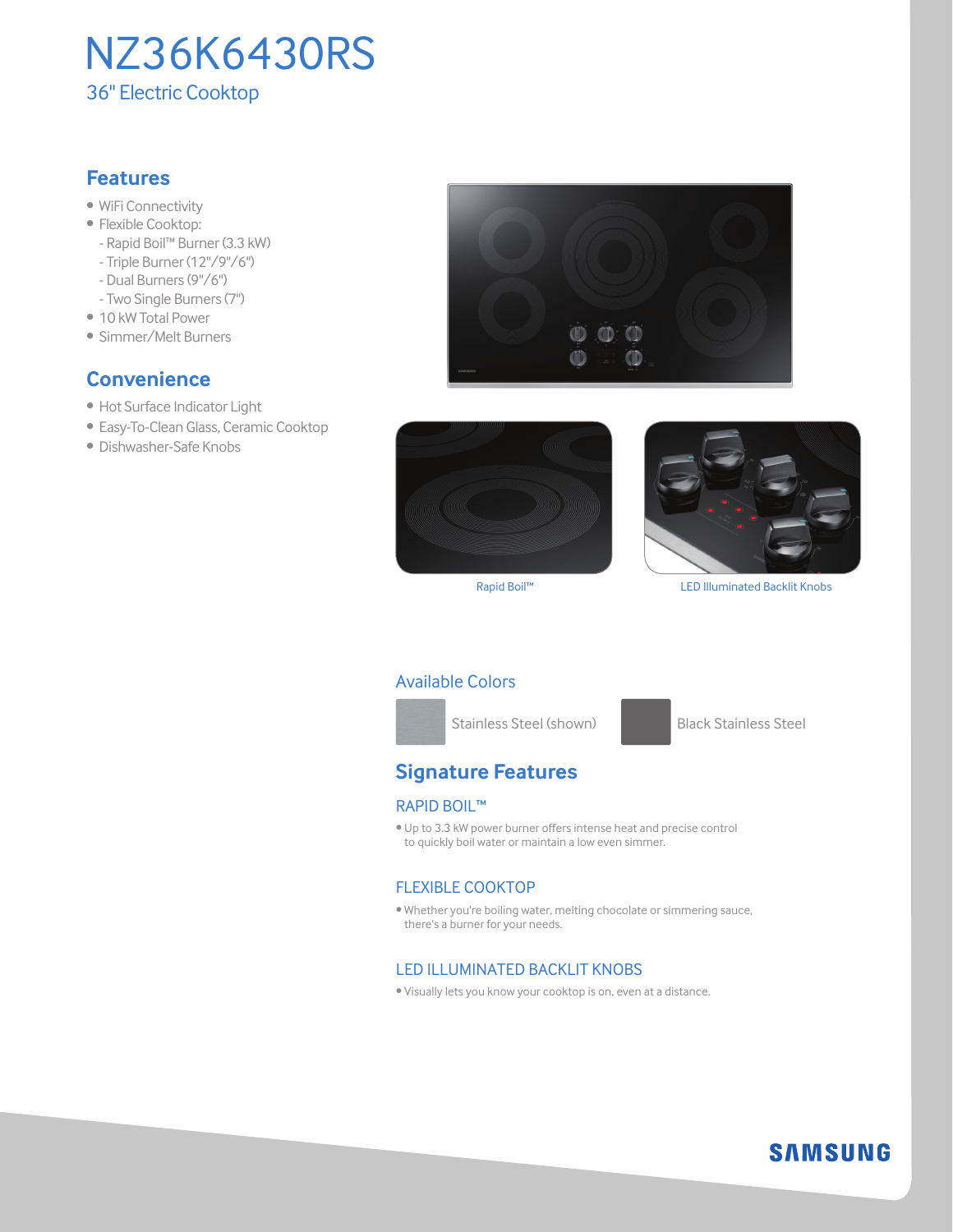

# **Features**

- WiFi Connectivity
- Flexible Cooktop:
	- Rapid Boil™ Burner (3.3 kW)
	- Triple Burner (12"/9"/6")
	- Dual Burners (9"/6")
	- Two Single Burners (7")
- 10 kW Total Power
- Simmer/Melt Burners

# **Convenience**

- Hot Surface Indicator Light
- Easy-To-Clean Glass, Ceramic Cooktop
- Dishwasher-Safe Knobs







Rapid Boil™ LED Illuminated Backlit Knobs

#### Available Colors



Stainless Steel (shown) Black Stainless Steel

**SAMSUNG** 

# **Signature Features**

#### Rapid Boil™

• Up to 3.3 kW power burner offers intense heat and precise control to quickly boil water or maintain a low even simmer.

#### Flexible Cooktop

• Whether you're boiling water, melting chocolate or simmering sauce, there's a burner for your needs.

#### LED Illuminated Backlit KNOBS

• Visually lets you know your cooktop is on, even at a distance.